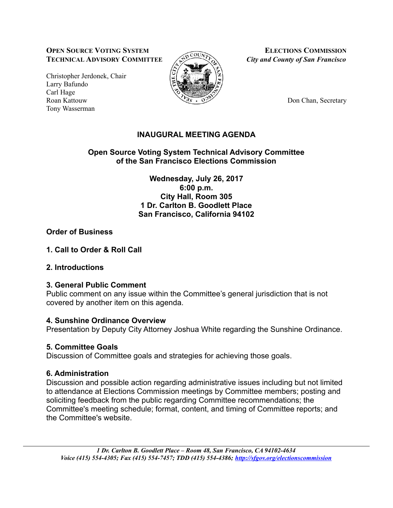#### **OPEN** SOURCE VOTING SYSTEM **ELECTIONS** COMMISSION **TECHNICAL ADVISORY COMMITTEE**  $\left\langle \sum_{k=1}^{\infty} C_k \right\rangle$  *City and County of San Francisco*

Christopher Jerdonek, Chair Larry Bafundo Carl Hage Roan Kattouw Don Chan, Secretary Tony Wasserman



# **INAUGURAL MEETING AGENDA**

**Open Source Voting System Technical Advisory Committee of the San Francisco Elections Commission**

> **Wednesday, July 26, 2017 6:00 p.m. City Hall, Room 305 1 Dr. Carlton B. Goodlett Place San Francisco, California 94102**

## **Order of Business**

**1. Call to Order & Roll Call**

# **2. Introductions**

### **3. General Public Comment**

Public comment on any issue within the Committee's general jurisdiction that is not covered by another item on this agenda.

### **4. Sunshine Ordinance Overview**

Presentation by Deputy City Attorney Joshua White regarding the Sunshine Ordinance.

# **5. Committee Goals**

Discussion of Committee goals and strategies for achieving those goals.

# **6. Administration**

Discussion and possible action regarding administrative issues including but not limited to attendance at Elections Commission meetings by Committee members; posting and soliciting feedback from the public regarding Committee recommendations; the Committee's meeting schedule; format, content, and timing of Committee reports; and the Committee's website.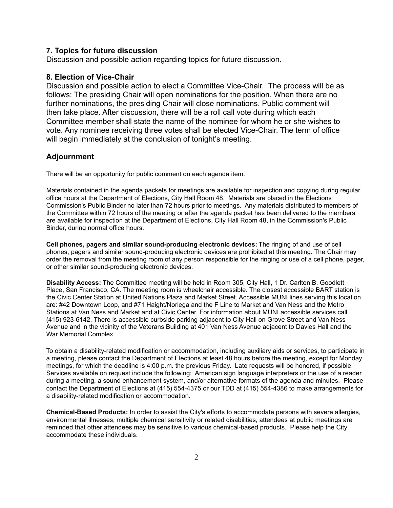#### **7. Topics for future discussion**

Discussion and possible action regarding topics for future discussion.

#### **8. Election of Vice-Chair**

Discussion and possible action to elect a Committee Vice-Chair. The process will be as follows: The presiding Chair will open nominations for the position. When there are no further nominations, the presiding Chair will close nominations. Public comment will then take place. After discussion, there will be a roll call vote during which each Committee member shall state the name of the nominee for whom he or she wishes to vote. Any nominee receiving three votes shall be elected Vice-Chair. The term of office will begin immediately at the conclusion of tonight's meeting.

#### **Adjournment**

There will be an opportunity for public comment on each agenda item.

Materials contained in the agenda packets for meetings are available for inspection and copying during regular office hours at the Department of Elections, City Hall Room 48. Materials are placed in the Elections Commission's Public Binder no later than 72 hours prior to meetings. Any materials distributed to members of the Committee within 72 hours of the meeting or after the agenda packet has been delivered to the members are available for inspection at the Department of Elections, City Hall Room 48, in the Commission's Public Binder, during normal office hours.

**Cell phones, pagers and similar sound-producing electronic devices:** The ringing of and use of cell phones, pagers and similar sound-producing electronic devices are prohibited at this meeting. The Chair may order the removal from the meeting room of any person responsible for the ringing or use of a cell phone, pager, or other similar sound-producing electronic devices.

**Disability Access:** The Committee meeting will be held in Room 305, City Hall, 1 Dr. Carlton B. Goodlett Place, San Francisco, CA. The meeting room is wheelchair accessible. The closest accessible BART station is the Civic Center Station at United Nations Plaza and Market Street. Accessible MUNI lines serving this location are: #42 Downtown Loop, and #71 Haight/Noriega and the F Line to Market and Van Ness and the Metro Stations at Van Ness and Market and at Civic Center. For information about MUNI accessible services call (415) 923-6142. There is accessible curbside parking adjacent to City Hall on Grove Street and Van Ness Avenue and in the vicinity of the Veterans Building at 401 Van Ness Avenue adjacent to Davies Hall and the War Memorial Complex.

To obtain a disability-related modification or accommodation, including auxiliary aids or services, to participate in a meeting, please contact the Department of Elections at least 48 hours before the meeting, except for Monday meetings, for which the deadline is 4:00 p.m. the previous Friday. Late requests will be honored, if possible. Services available on request include the following: American sign language interpreters or the use of a reader during a meeting, a sound enhancement system, and/or alternative formats of the agenda and minutes. Please contact the Department of Elections at (415) 554-4375 or our TDD at (415) 554-4386 to make arrangements for a disability-related modification or accommodation.

**Chemical-Based Products:** In order to assist the City's efforts to accommodate persons with severe allergies, environmental illnesses, multiple chemical sensitivity or related disabilities, attendees at public meetings are reminded that other attendees may be sensitive to various chemical-based products. Please help the City accommodate these individuals.